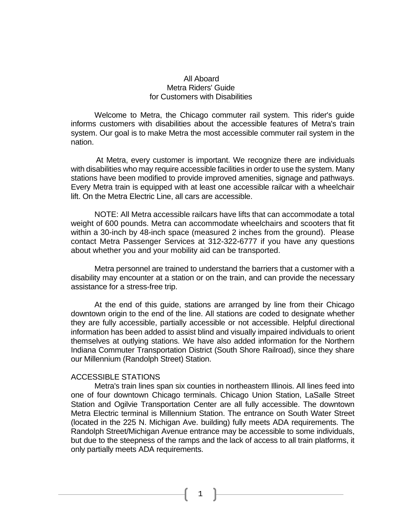# All Aboard Metra Riders' Guide for Customers with Disabilities

Welcome to Metra, the Chicago commuter rail system. This rider's guide informs customers with disabilities about the accessible features of Metra's train system. Our goal is to make Metra the most accessible commuter rail system in the nation.

 At Metra, every customer is important. We recognize there are individuals with disabilities who may require accessible facilities in order to use the system. Many stations have been modified to provide improved amenities, signage and pathways. Every Metra train is equipped with at least one accessible railcar with a wheelchair lift. On the Metra Electric Line, all cars are accessible.

NOTE: All Metra accessible railcars have lifts that can accommodate a total weight of 600 pounds. Metra can accommodate wheelchairs and scooters that fit within a 30-inch by 48-inch space (measured 2 inches from the ground). Please contact Metra Passenger Services at 312-322-6777 if you have any questions about whether you and your mobility aid can be transported.

Metra personnel are trained to understand the barriers that a customer with a disability may encounter at a station or on the train, and can provide the necessary assistance for a stress-free trip.

At the end of this guide, stations are arranged by line from their Chicago downtown origin to the end of the line. All stations are coded to designate whether they are fully accessible, partially accessible or not accessible. Helpful directional information has been added to assist blind and visually impaired individuals to orient themselves at outlying stations. We have also added information for the Northern Indiana Commuter Transportation District (South Shore Railroad), since they share our Millennium (Randolph Street) Station.

#### ACCESSIBLE STATIONS

Metra's train lines span six counties in northeastern Illinois. All lines feed into one of four downtown Chicago terminals. Chicago Union Station, LaSalle Street Station and Ogilvie Transportation Center are all fully accessible. The downtown Metra Electric terminal is Millennium Station. The entrance on South Water Street (located in the 225 N. Michigan Ave. building) fully meets ADA requirements. The Randolph Street/Michigan Avenue entrance may be accessible to some individuals, but due to the steepness of the ramps and the lack of access to all train platforms, it only partially meets ADA requirements.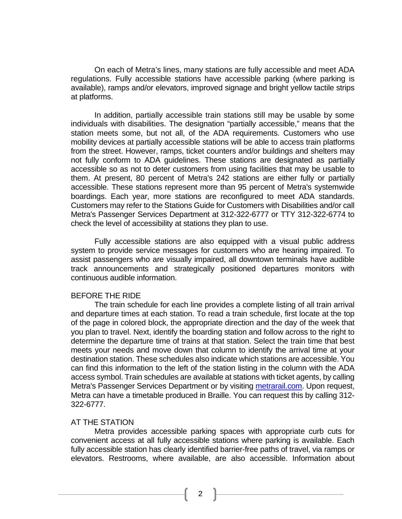On each of Metra's lines, many stations are fully accessible and meet ADA regulations. Fully accessible stations have accessible parking (where parking is available), ramps and/or elevators, improved signage and bright yellow tactile strips at platforms.

In addition, partially accessible train stations still may be usable by some individuals with disabilities. The designation "partially accessible," means that the station meets some, but not all, of the ADA requirements. Customers who use mobility devices at partially accessible stations will be able to access train platforms from the street. However, ramps, ticket counters and/or buildings and shelters may not fully conform to ADA guidelines. These stations are designated as partially accessible so as not to deter customers from using facilities that may be usable to them. At present, 80 percent of Metra's 242 stations are either fully or partially accessible. These stations represent more than 95 percent of Metra's systemwide boardings. Each year, more stations are reconfigured to meet ADA standards. Customers may refer to the Stations Guide for Customers with Disabilities and/or call Metra's Passenger Services Department at 312-322-6777 or TTY 312-322-6774 to check the level of accessibility at stations they plan to use.

Fully accessible stations are also equipped with a visual public address system to provide service messages for customers who are hearing impaired. To assist passengers who are visually impaired, all downtown terminals have audible track announcements and strategically positioned departures monitors with continuous audible information.

#### BEFORE THE RIDE

The train schedule for each line provides a complete listing of all train arrival and departure times at each station. To read a train schedule, first locate at the top of the page in colored block, the appropriate direction and the day of the week that you plan to travel. Next, identify the boarding station and follow across to the right to determine the departure time of trains at that station. Select the train time that best meets your needs and move down that column to identify the arrival time at your destination station. These schedules also indicate which stations are accessible. You can find this information to the left of the station listing in the column with the ADA access symbol. Train schedules are available at stations with ticket agents, by calling Metra's Passenger Services Department or by visiting [metrarail.com.](http://www.metrarail.com/) Upon request, Metra can have a timetable produced in Braille. You can request this by calling 312- 322-6777.

#### AT THE STATION

Metra provides accessible parking spaces with appropriate curb cuts for convenient access at all fully accessible stations where parking is available. Each fully accessible station has clearly identified barrier-free paths of travel, via ramps or elevators. Restrooms, where available, are also accessible. Information about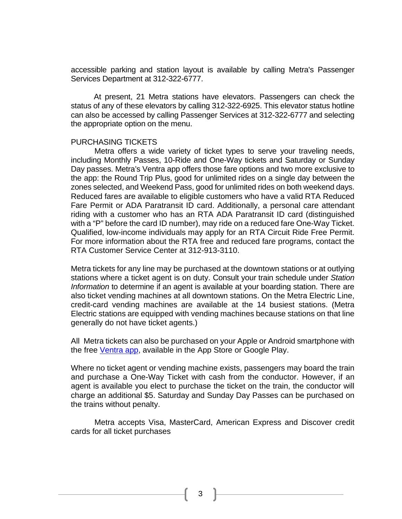accessible parking and station layout is available by calling Metra's Passenger Services Department at 312-322-6777.

 At present, 21 Metra stations have elevators. Passengers can check the status of any of these elevators by calling 312-322-6925. This elevator status hotline can also be accessed by calling Passenger Services at 312-322-6777 and selecting the appropriate option on the menu.

#### PURCHASING TICKETS

Metra offers a wide variety of ticket types to serve your traveling needs, including Monthly Passes, 10-Ride and One-Way tickets and Saturday or Sunday Day passes. Metra's Ventra app offers those fare options and two more exclusive to the app: the Round Trip Plus, good for unlimited rides on a single day between the zones selected, and Weekend Pass, good for unlimited rides on both weekend days. Reduced fares are available to eligible customers who have a valid RTA Reduced Fare Permit or ADA Paratransit ID card. Additionally, a personal care attendant riding with a customer who has an RTA ADA Paratransit ID card (distinguished with a "P" before the card ID number), may ride on a reduced fare One-Way Ticket. Qualified, low-income individuals may apply for an RTA Circuit Ride Free Permit. For more information about the RTA free and reduced fare programs, contact the RTA Customer Service Center at 312-913-3110.

Metra tickets for any line may be purchased at the downtown stations or at outlying stations where a ticket agent is on duty. Consult your train schedule under *Station Information* to determine if an agent is available at your boarding station. There are also ticket vending machines at all downtown stations. On the Metra Electric Line, credit-card vending machines are available at the 14 busiest stations. (Metra Electric stations are equipped with vending machines because stations on that line generally do not have ticket agents.)

All Metra tickets can also be purchased on your Apple or Android smartphone with the free [Ventra app,](http://metrarail.com/ventra) available in the App Store or Google Play.

Where no ticket agent or vending machine exists, passengers may board the train and purchase a One-Way Ticket with cash from the conductor. However, if an agent is available you elect to purchase the ticket on the train, the conductor will charge an additional \$5. Saturday and Sunday Day Passes can be purchased on the trains without penalty.

Metra accepts Visa, MasterCard, American Express and Discover credit cards for all ticket purchases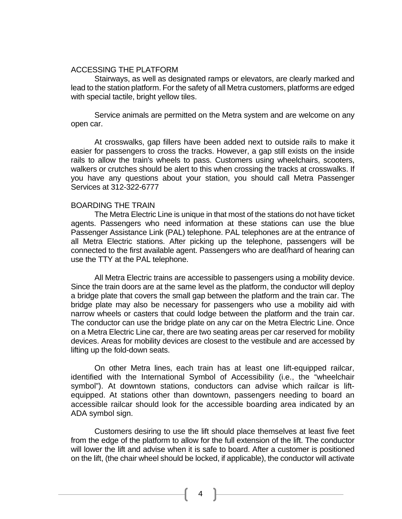### ACCESSING THE PLATFORM

Stairways, as well as designated ramps or elevators, are clearly marked and lead to the station platform. For the safety of all Metra customers, platforms are edged with special tactile, bright yellow tiles.

Service animals are permitted on the Metra system and are welcome on any open car.

At crosswalks, gap fillers have been added next to outside rails to make it easier for passengers to cross the tracks. However, a gap still exists on the inside rails to allow the train's wheels to pass. Customers using wheelchairs, scooters, walkers or crutches should be alert to this when crossing the tracks at crosswalks. If you have any questions about your station, you should call Metra Passenger Services at 312-322-6777

#### BOARDING THE TRAIN

The Metra Electric Line is unique in that most of the stations do not have ticket agents. Passengers who need information at these stations can use the blue Passenger Assistance Link (PAL) telephone. PAL telephones are at the entrance of all Metra Electric stations. After picking up the telephone, passengers will be connected to the first available agent. Passengers who are deaf/hard of hearing can use the TTY at the PAL telephone.

All Metra Electric trains are accessible to passengers using a mobility device. Since the train doors are at the same level as the platform, the conductor will deploy a bridge plate that covers the small gap between the platform and the train car. The bridge plate may also be necessary for passengers who use a mobility aid with narrow wheels or casters that could lodge between the platform and the train car. The conductor can use the bridge plate on any car on the Metra Electric Line. Once on a Metra Electric Line car, there are two seating areas per car reserved for mobility devices. Areas for mobility devices are closest to the vestibule and are accessed by lifting up the fold-down seats.

On other Metra lines, each train has at least one lift-equipped railcar, identified with the International Symbol of Accessibility (i.e., the "wheelchair symbol"). At downtown stations, conductors can advise which railcar is liftequipped. At stations other than downtown, passengers needing to board an accessible railcar should look for the accessible boarding area indicated by an ADA symbol sign.

Customers desiring to use the lift should place themselves at least five feet from the edge of the platform to allow for the full extension of the lift. The conductor will lower the lift and advise when it is safe to board. After a customer is positioned on the lift, (the chair wheel should be locked, if applicable), the conductor will activate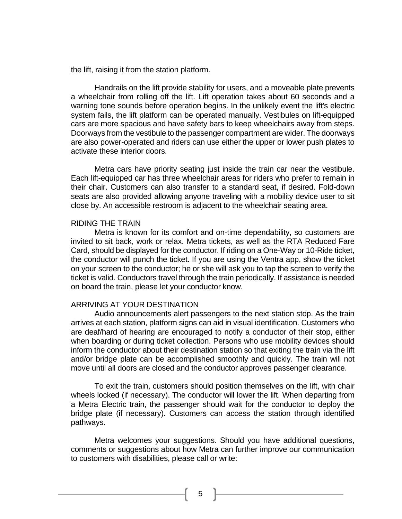the lift, raising it from the station platform.

Handrails on the lift provide stability for users, and a moveable plate prevents a wheelchair from rolling off the lift. Lift operation takes about 60 seconds and a warning tone sounds before operation begins. In the unlikely event the lift's electric system fails, the lift platform can be operated manually. Vestibules on lift-equipped cars are more spacious and have safety bars to keep wheelchairs away from steps. Doorways from the vestibule to the passenger compartment are wider. The doorways are also power-operated and riders can use either the upper or lower push plates to activate these interior doors.

Metra cars have priority seating just inside the train car near the vestibule. Each lift-equipped car has three wheelchair areas for riders who prefer to remain in their chair. Customers can also transfer to a standard seat, if desired. Fold-down seats are also provided allowing anyone traveling with a mobility device user to sit close by. An accessible restroom is adjacent to the wheelchair seating area.

#### RIDING THE TRAIN

Metra is known for its comfort and on-time dependability, so customers are invited to sit back, work or relax. Metra tickets, as well as the RTA Reduced Fare Card, should be displayed for the conductor. If riding on a One-Way or 10-Ride ticket, the conductor will punch the ticket. If you are using the Ventra app, show the ticket on your screen to the conductor; he or she will ask you to tap the screen to verify the ticket is valid. Conductors travel through the train periodically. If assistance is needed on board the train, please let your conductor know.

#### ARRIVING AT YOUR DESTINATION

Audio announcements alert passengers to the next station stop. As the train arrives at each station, platform signs can aid in visual identification. Customers who are deaf/hard of hearing are encouraged to notify a conductor of their stop, either when boarding or during ticket collection. Persons who use mobility devices should inform the conductor about their destination station so that exiting the train via the lift and/or bridge plate can be accomplished smoothly and quickly. The train will not move until all doors are closed and the conductor approves passenger clearance.

To exit the train, customers should position themselves on the lift, with chair wheels locked (if necessary). The conductor will lower the lift. When departing from a Metra Electric train, the passenger should wait for the conductor to deploy the bridge plate (if necessary). Customers can access the station through identified pathways.

Metra welcomes your suggestions. Should you have additional questions, comments or suggestions about how Metra can further improve our communication to customers with disabilities, please call or write: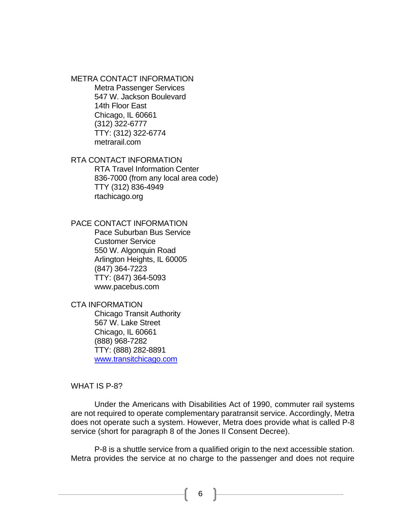METRA CONTACT INFORMATION Metra Passenger Services

547 W. Jackson Boulevard 14th Floor East Chicago, IL 60661 (312) 322-6777 TTY: (312) 322-6774 metrarail.com

RTA CONTACT INFORMATION

RTA Travel Information Center 836-7000 (from any local area code) TTY (312) 836-4949 rtachicago.org

PACE CONTACT INFORMATION

Pace Suburban Bus Service Customer Service 550 W. Algonquin Road Arlington Heights, IL 60005 (847) 364-7223 TTY: (847) 364-5093 www.pacebus.com

CTA INFORMATION

Chicago Transit Authority 567 W. Lake Street Chicago, IL 60661 (888) 968-7282 TTY: (888) 282-8891 [www.transitchicago.com](http://www.transitchicago.com/)

#### WHAT IS P-8?

Under the Americans with Disabilities Act of 1990, commuter rail systems are not required to operate complementary paratransit service. Accordingly, Metra does not operate such a system. However, Metra does provide what is called P-8 service (short for paragraph 8 of the Jones II Consent Decree).

P-8 is a shuttle service from a qualified origin to the next accessible station. Metra provides the service at no charge to the passenger and does not require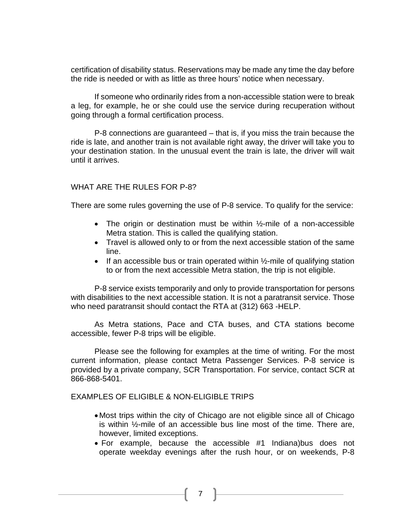certification of disability status. Reservations may be made any time the day before the ride is needed or with as little as three hours' notice when necessary.

If someone who ordinarily rides from a non-accessible station were to break a leg, for example, he or she could use the service during recuperation without going through a formal certification process.

P-8 connections are guaranteed – that is, if you miss the train because the ride is late, and another train is not available right away, the driver will take you to your destination station. In the unusual event the train is late, the driver will wait until it arrives.

# WHAT ARE THE RULES FOR P-8?

There are some rules governing the use of P-8 service. To qualify for the service:

- The origin or destination must be within  $\frac{1}{2}$ -mile of a non-accessible Metra station. This is called the qualifying station.
- Travel is allowed only to or from the next accessible station of the same line.
- If an accessible bus or train operated within  $\frac{1}{2}$ -mile of qualifying station to or from the next accessible Metra station, the trip is not eligible.

P-8 service exists temporarily and only to provide transportation for persons with disabilities to the next accessible station. It is not a paratransit service. Those who need paratransit should contact the RTA at (312) 663 -HELP.

As Metra stations, Pace and CTA buses, and CTA stations become accessible, fewer P-8 trips will be eligible.

Please see the following for examples at the time of writing. For the most current information, please contact Metra Passenger Services. P-8 service is provided by a private company, SCR Transportation. For service, contact SCR at 866-868-5401.

### EXAMPLES OF ELIGIBLE & NON-ELIGIBLE TRIPS

- Most trips within the city of Chicago are not eligible since all of Chicago is within ½-mile of an accessible bus line most of the time. There are, however, limited exceptions.
- For example, because the accessible #1 Indiana)bus does not operate weekday evenings after the rush hour, or on weekends, P-8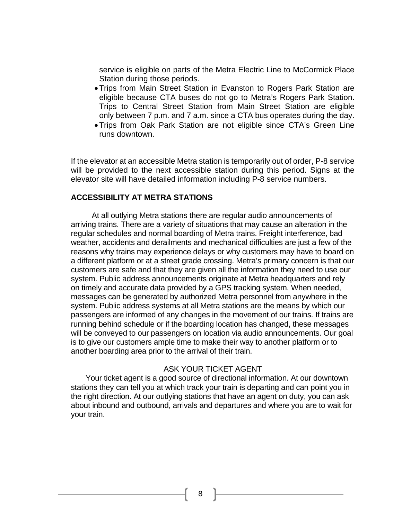service is eligible on parts of the Metra Electric Line to McCormick Place Station during those periods.

- •Trips from Main Street Station in Evanston to Rogers Park Station are eligible because CTA buses do not go to Metra's Rogers Park Station. Trips to Central Street Station from Main Street Station are eligible only between 7 p.m. and 7 a.m. since a CTA bus operates during the day.
- •Trips from Oak Park Station are not eligible since CTA's Green Line runs downtown.

If the elevator at an accessible Metra station is temporarily out of order, P-8 service will be provided to the next accessible station during this period. Signs at the elevator site will have detailed information including P-8 service numbers.

# **ACCESSIBILITY AT METRA STATIONS**

 At all outlying Metra stations there are regular audio announcements of arriving trains. There are a variety of situations that may cause an alteration in the regular schedules and normal boarding of Metra trains. Freight interference, bad weather, accidents and derailments and mechanical difficulties are just a few of the reasons why trains may experience delays or why customers may have to board on a different platform or at a street grade crossing. Metra's primary concern is that our customers are safe and that they are given all the information they need to use our system. Public address announcements originate at Metra headquarters and rely on timely and accurate data provided by a GPS tracking system. When needed, messages can be generated by authorized Metra personnel from anywhere in the system. Public address systems at all Metra stations are the means by which our passengers are informed of any changes in the movement of our trains. If trains are running behind schedule or if the boarding location has changed, these messages will be conveyed to our passengers on location via audio announcements. Our goal is to give our customers ample time to make their way to another platform or to another boarding area prior to the arrival of their train.

# ASK YOUR TICKET AGENT

 Your ticket agent is a good source of directional information. At our downtown stations they can tell you at which track your train is departing and can point you in the right direction. At our outlying stations that have an agent on duty, you can ask about inbound and outbound, arrivals and departures and where you are to wait for your train.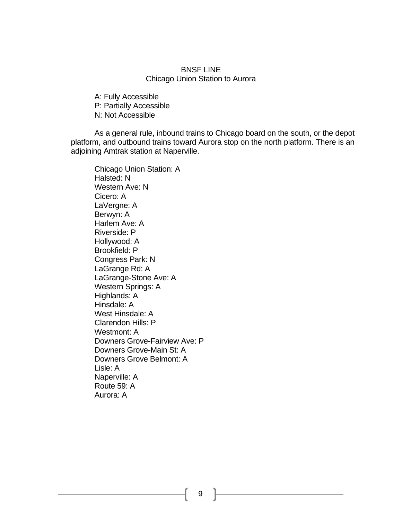### BNSF LINE Chicago Union Station to Aurora

A: Fully Accessible P: Partially Accessible N: Not Accessible

As a general rule, inbound trains to Chicago board on the south, or the depot platform, and outbound trains toward Aurora stop on the north platform. There is an adjoining Amtrak station at Naperville.

Chicago Union Station: A Halsted: N Western Ave: N Cicero: A LaVergne: A Berwyn: A Harlem Ave: A Riverside: P Hollywood: A Brookfield: P Congress Park: N LaGrange Rd: A LaGrange-Stone Ave: A Western Springs: A Highlands: A Hinsdale: A West Hinsdale: A Clarendon Hills: P Westmont: A Downers Grove-Fairview Ave: P Downers Grove-Main St: A Downers Grove Belmont: A Lisle: A Naperville: A Route 59: A Aurora: A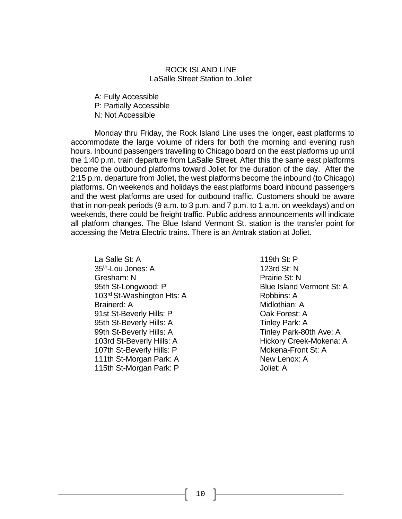### ROCK ISLAND LINE LaSalle Street Station to Joliet

A: Fully Accessible P: Partially Accessible N: Not Accessible

Monday thru Friday, the Rock Island Line uses the longer, east platforms to accommodate the large volume of riders for both the morning and evening rush hours. Inbound passengers travelling to Chicago board on the east platforms up until the 1:40 p.m. train departure from LaSalle Street. After this the same east platforms become the outbound platforms toward Joliet for the duration of the day. After the 2:15 p.m. departure from Joliet, the west platforms become the inbound (to Chicago) platforms. On weekends and holidays the east platforms board inbound passengers and the west platforms are used for outbound traffic. Customers should be aware that in non-peak periods (9 a.m. to 3 p.m. and 7 p.m. to 1 a.m. on weekdays) and on weekends, there could be freight traffic. Public address announcements will indicate all platform changes. The Blue Island Vermont St. station is the transfer point for accessing the Metra Electric trains. There is an Amtrak station at Joliet.

La Salle St: A 35th-Lou Jones: A Gresham: N 95th St-Longwood: P 103<sup>rd</sup> St-Washington Hts: A Brainerd: A 91st St-Beverly Hills: P 95th St-Beverly Hills: A 99th St-Beverly Hills: A 103rd St-Beverly Hills: A 107th St-Beverly Hills: P 111th St-Morgan Park: A 115th St-Morgan Park: P

119th St: P 123rd St: N Prairie St: N Blue Island Vermont St: A Robbins: A Midlothian: A Oak Forest: A Tinley Park: A Tinley Park-80th Ave: A Hickory Creek-Mokena: A Mokena-Front St: A New Lenox: A Joliet: A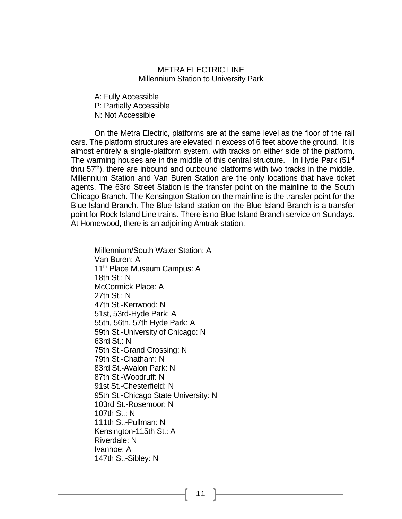### METRA ELECTRIC LINE Millennium Station to University Park

A: Fully Accessible P: Partially Accessible

N: Not Accessible

On the Metra Electric, platforms are at the same level as the floor of the rail cars. The platform structures are elevated in excess of 6 feet above the ground. It is almost entirely a single-platform system, with tracks on either side of the platform. The warming houses are in the middle of this central structure. In Hyde Park  $(51<sup>st</sup>)$ thru  $57<sup>th</sup>$ ), there are inbound and outbound platforms with two tracks in the middle. Millennium Station and Van Buren Station are the only locations that have ticket agents. The 63rd Street Station is the transfer point on the mainline to the South Chicago Branch. The Kensington Station on the mainline is the transfer point for the Blue Island Branch. The Blue Island station on the Blue Island Branch is a transfer point for Rock Island Line trains. There is no Blue Island Branch service on Sundays. At Homewood, there is an adjoining Amtrak station.

Millennium/South Water Station: A Van Buren: A 11<sup>th</sup> Place Museum Campus: A 18th St.: N McCormick Place: A 27th St.: N 47th St.-Kenwood: N 51st, 53rd-Hyde Park: A 55th, 56th, 57th Hyde Park: A 59th St.-University of Chicago: N 63rd St.: N 75th St.-Grand Crossing: N 79th St.-Chatham: N 83rd St.-Avalon Park: N 87th St.-Woodruff: N 91st St.-Chesterfield: N 95th St.-Chicago State University: N 103rd St.-Rosemoor: N 107th St.: N 111th St.-Pullman: N Kensington-115th St.: A Riverdale: N Ivanhoe: A 147th St.-Sibley: N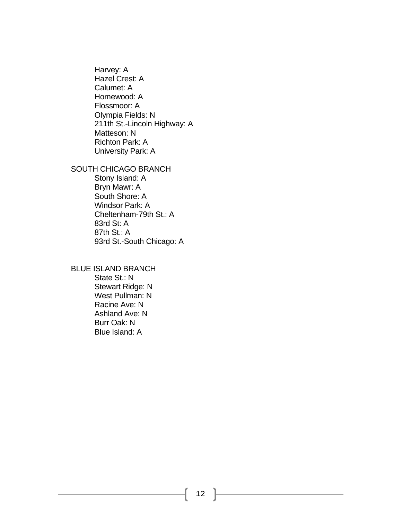Harvey: A Hazel Crest: A Calumet: A Homewood: A Flossmoor: A Olympia Fields: N 211th St.-Lincoln Highway: A Matteson: N Richton Park: A University Park: A

# SOUTH CHICAGO BRANCH

Stony Island: A Bryn Mawr: A South Shore: A Windsor Park: A Cheltenham-79th St.: A 83rd St: A 87th St.: A 93rd St.-South Chicago: A

BLUE ISLAND BRANCH State St.: N Stewart Ridge: N West Pullman: N Racine Ave: N Ashland Ave: N Burr Oak: N Blue Island: A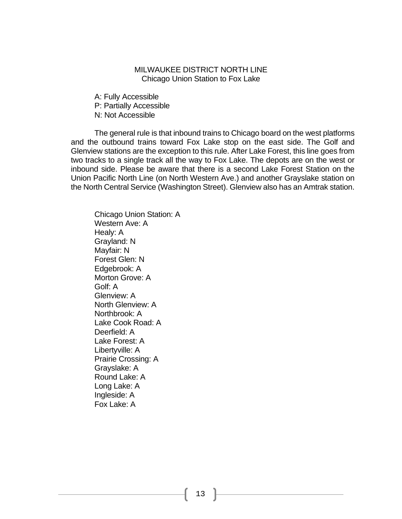# MILWAUKEE DISTRICT NORTH LINE Chicago Union Station to Fox Lake

A: Fully Accessible P: Partially Accessible N: Not Accessible

The general rule is that inbound trains to Chicago board on the west platforms and the outbound trains toward Fox Lake stop on the east side. The Golf and Glenview stations are the exception to this rule. After Lake Forest, this line goes from two tracks to a single track all the way to Fox Lake. The depots are on the west or inbound side. Please be aware that there is a second Lake Forest Station on the Union Pacific North Line (on North Western Ave.) and another Grayslake station on the North Central Service (Washington Street). Glenview also has an Amtrak station.

Chicago Union Station: A Western Ave: A Healy: A Grayland: N Mayfair: N Forest Glen: N Edgebrook: A Morton Grove: A Golf: A Glenview: A North Glenview: A Northbrook: A Lake Cook Road: A Deerfield: A Lake Forest: A Libertyville: A Prairie Crossing: A Grayslake: A Round Lake: A Long Lake: A Ingleside: A Fox Lake: A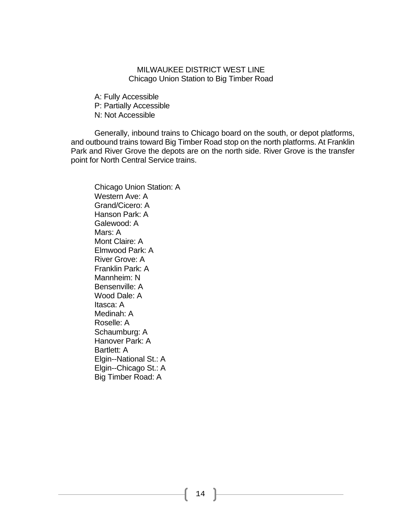### MILWAUKEE DISTRICT WEST LINE Chicago Union Station to Big Timber Road

A: Fully Accessible P: Partially Accessible N: Not Accessible

Generally, inbound trains to Chicago board on the south, or depot platforms, and outbound trains toward Big Timber Road stop on the north platforms. At Franklin Park and River Grove the depots are on the north side. River Grove is the transfer point for North Central Service trains.

Chicago Union Station: A Western Ave: A Grand/Cicero: A Hanson Park: A Galewood: A Mars: A Mont Claire: A Elmwood Park: A River Grove: A Franklin Park: A Mannheim: N Bensenville: A Wood Dale: A Itasca: A Medinah: A Roselle: A Schaumburg: A Hanover Park: A Bartlett: A Elgin--National St.: A Elgin--Chicago St.: A Big Timber Road: A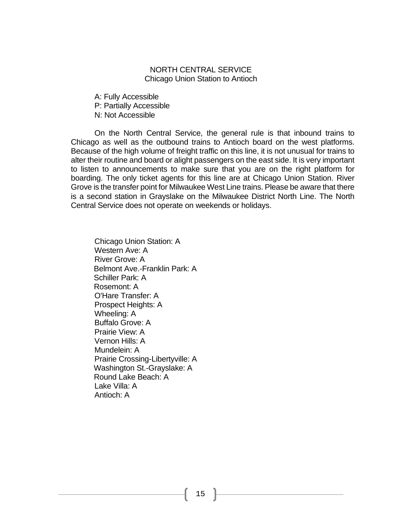### NORTH CENTRAL SERVICE Chicago Union Station to Antioch

A: Fully Accessible P: Partially Accessible N: Not Accessible

On the North Central Service, the general rule is that inbound trains to Chicago as well as the outbound trains to Antioch board on the west platforms. Because of the high volume of freight traffic on this line, it is not unusual for trains to alter their routine and board or alight passengers on the east side. It is very important to listen to announcements to make sure that you are on the right platform for boarding. The only ticket agents for this line are at Chicago Union Station. River Grove is the transfer point for Milwaukee West Line trains. Please be aware that there is a second station in Grayslake on the Milwaukee District North Line. The North Central Service does not operate on weekends or holidays.

Chicago Union Station: A Western Ave: A River Grove: A Belmont Ave.-Franklin Park: A Schiller Park: A Rosemont: A O'Hare Transfer: A Prospect Heights: A Wheeling: A Buffalo Grove: A Prairie View: A Vernon Hills: A Mundelein: A Prairie Crossing-Libertyville: A Washington St.-Grayslake: A Round Lake Beach: A Lake Villa: A Antioch: A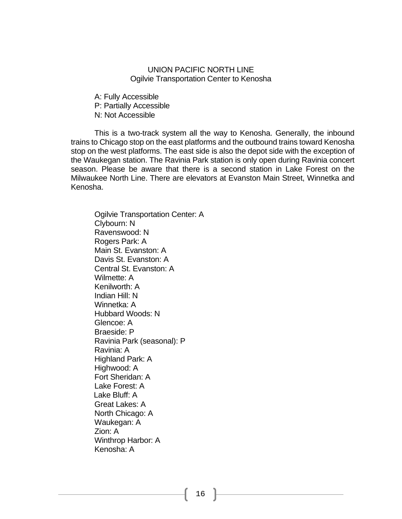### UNION PACIFIC NORTH LINE Ogilvie Transportation Center to Kenosha

A: Fully Accessible P: Partially Accessible N: Not Accessible

This is a two-track system all the way to Kenosha. Generally, the inbound trains to Chicago stop on the east platforms and the outbound trains toward Kenosha stop on the west platforms. The east side is also the depot side with the exception of the Waukegan station. The Ravinia Park station is only open during Ravinia concert season. Please be aware that there is a second station in Lake Forest on the Milwaukee North Line. There are elevators at Evanston Main Street, Winnetka and Kenosha.

Ogilvie Transportation Center: A Clybourn: N Ravenswood: N Rogers Park: A Main St. Evanston: A Davis St. Evanston: A Central St. Evanston: A Wilmette: A Kenilworth: A Indian Hill: N Winnetka: A Hubbard Woods: N Glencoe: A Braeside: P Ravinia Park (seasonal): P Ravinia: A Highland Park: A Highwood: A Fort Sheridan: A Lake Forest: A Lake Bluff: A Great Lakes: A North Chicago: A Waukegan: A Zion: A Winthrop Harbor: A Kenosha: A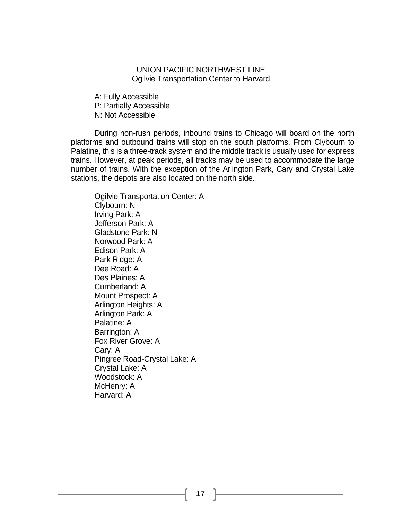## UNION PACIFIC NORTHWEST LINE Ogilvie Transportation Center to Harvard

A: Fully Accessible P: Partially Accessible N: Not Accessible

During non-rush periods, inbound trains to Chicago will board on the north platforms and outbound trains will stop on the south platforms. From Clybourn to Palatine, this is a three-track system and the middle track is usually used for express trains. However, at peak periods, all tracks may be used to accommodate the large number of trains. With the exception of the Arlington Park, Cary and Crystal Lake stations, the depots are also located on the north side.

Ogilvie Transportation Center: A Clybourn: N Irving Park: A Jefferson Park: A Gladstone Park: N Norwood Park: A Edison Park: A Park Ridge: A Dee Road: A Des Plaines: A Cumberland: A Mount Prospect: A Arlington Heights: A Arlington Park: A Palatine: A Barrington: A Fox River Grove: A Cary: A Pingree Road-Crystal Lake: A Crystal Lake: A Woodstock: A McHenry: A Harvard: A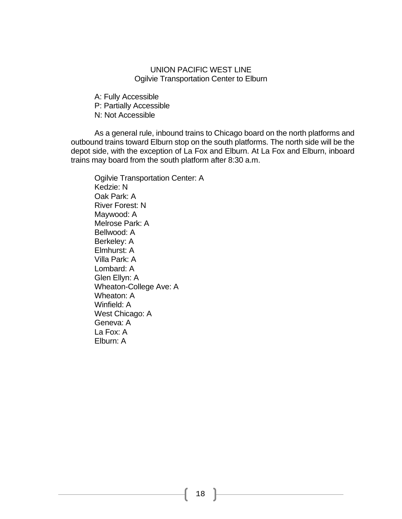# UNION PACIFIC WEST LINE Ogilvie Transportation Center to Elburn

A: Fully Accessible P: Partially Accessible N: Not Accessible

As a general rule, inbound trains to Chicago board on the north platforms and outbound trains toward Elburn stop on the south platforms. The north side will be the depot side, with the exception of La Fox and Elburn. At La Fox and Elburn, inboard trains may board from the south platform after 8:30 a.m.

Ogilvie Transportation Center: A Kedzie: N Oak Park: A River Forest: N Maywood: A Melrose Park: A Bellwood: A Berkeley: A Elmhurst: A Villa Park: A Lombard: A Glen Ellyn: A Wheaton-College Ave: A Wheaton: A Winfield: A West Chicago: A Geneva: A La Fox: A Elburn: A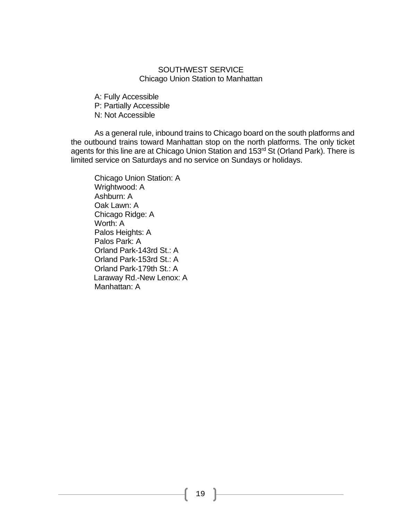# SOUTHWEST SERVICE Chicago Union Station to Manhattan

A: Fully Accessible P: Partially Accessible N: Not Accessible

As a general rule, inbound trains to Chicago board on the south platforms and the outbound trains toward Manhattan stop on the north platforms. The only ticket agents for this line are at Chicago Union Station and 153<sup>rd</sup> St (Orland Park). There is limited service on Saturdays and no service on Sundays or holidays.

Chicago Union Station: A Wrightwood: A Ashburn: A Oak Lawn: A Chicago Ridge: A Worth: A Palos Heights: A Palos Park: A Orland Park-143rd St.: A Orland Park-153rd St.: A Orland Park-179th St.: A Laraway Rd.-New Lenox: A Manhattan: A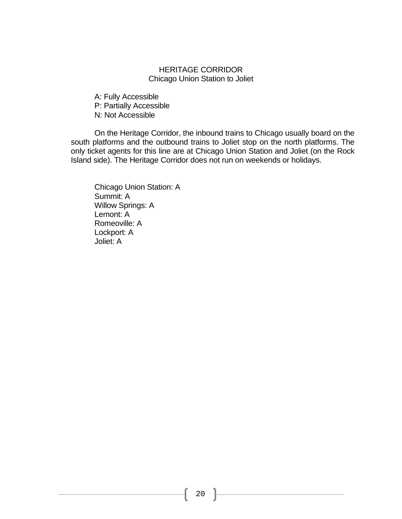# HERITAGE CORRIDOR Chicago Union Station to Joliet

A: Fully Accessible P: Partially Accessible N: Not Accessible

On the Heritage Corridor, the inbound trains to Chicago usually board on the south platforms and the outbound trains to Joliet stop on the north platforms. The only ticket agents for this line are at Chicago Union Station and Joliet (on the Rock Island side). The Heritage Corridor does not run on weekends or holidays.

Chicago Union Station: A Summit: A Willow Springs: A Lemont: A Romeoville: A Lockport: A Joliet: A